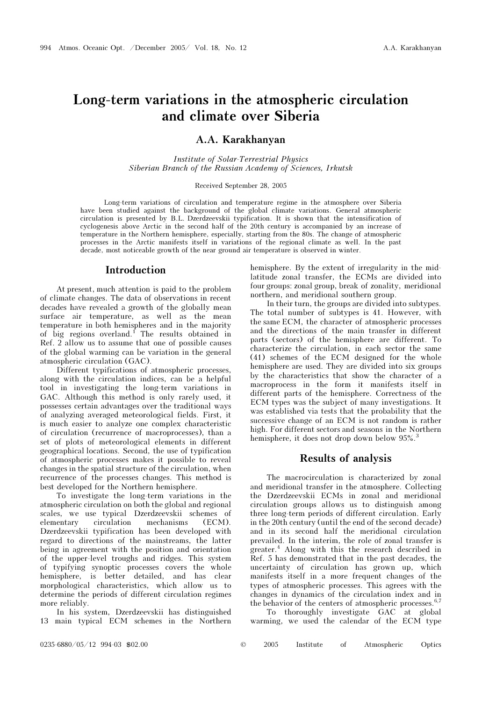# Long-term variations in the atmospheric circulation and climate over Siberia

# A.A. Karakhanyan

Institute of Solar-Terrestrial Physics Siberian Branch of the Russian Academy of Sciences, Irkutsk

#### Received September 28, 2005

Long-term variations of circulation and temperature regime in the atmosphere over Siberia have been studied against the background of the global climate variations. General atmospheric circulation is presented by B.L. Dzerdzeevskii typification. It is shown that the intensification of cyclogenesis above Arctic in the second half of the 20th century is accompanied by an increase of temperature in the Northern hemisphere, especially, starting from the 80s. The change of atmospheric processes in the Arctic manifests itself in variations of the regional climate as well. In the past decade, most noticeable growth of the near ground air temperature is observed in winter.

## Introduction

At present, much attention is paid to the problem of climate changes. The data of observations in recent decades have revealed a growth of the globally mean surface air temperature, as well as the mean temperature in both hemispheres and in the majority of big regions overland.<sup>1</sup> The results obtained in Ref. 2 allow us to assume that one of possible causes of the global warming can be variation in the general atmospheric circulation (GAC).

Different typifications of atmospheric processes, along with the circulation indices, can be a helpful tool in investigating the long-term variations in GAC. Although this method is only rarely used, it possesses certain advantages over the traditional ways of analyzing averaged meteorological fields. First, it is much easier to analyze one complex characteristic of circulation (recurrence of macroprocesses), than a set of plots of meteorological elements in different geographical locations. Second, the use of typification of atmospheric processes makes it possible to reveal changes in the spatial structure of the circulation, when recurrence of the processes changes. This method is best developed for the Northern hemisphere.

To investigate the long-term variations in the atmospheric circulation on both the global and regional scales, we use typical Dzerdzeevskii schemes of elementary circulation mechanisms (ECM). Dzerdzeevskii typification has been developed with regard to directions of the mainstreams, the latter being in agreement with the position and orientation of the upper-level troughs and ridges. This system of typifying synoptic processes covers the whole hemisphere, is better detailed, and has clear morphological characteristics, which allow us to determine the periods of different circulation regimes more reliably.

In his system, Dzerdzeevskii has distinguished 13 main typical ECM schemes in the Northern

hemisphere. By the extent of irregularity in the midlatitude zonal transfer, the ECMs are divided into four groups: zonal group, break of zonality, meridional northern, and meridional southern group.

In their turn, the groups are divided into subtypes. The total number of subtypes is 41. However, with the same ECM, the character of atmospheric processes and the directions of the main transfer in different parts (sectors) of the hemisphere are different. To characterize the circulation, in each sector the same (41) schemes of the ECM designed for the whole hemisphere are used. They are divided into six groups by the characteristics that show the character of a macroprocess in the form it manifests itself in different parts of the hemisphere. Correctness of the ECM types was the subject of many investigations. It was established via tests that the probability that the successive change of an ECM is not random is rather high. For different sectors and seasons in the Northern hemisphere, it does not drop down below 95%.<sup>3</sup>

## Results of analysis

The macrocirculation is characterized by zonal and meridional transfer in the atmosphere. Collecting the Dzerdzeevskii ECMs in zonal and meridional circulation groups allows us to distinguish among three long-term periods of different circulation. Early in the 20th century (until the end of the second decade) and in its second half the meridional circulation prevailed. In the interim, the role of zonal transfer is greater.<sup>4</sup> Along with this the research described in Ref. 5 has demonstrated that in the past decades, the uncertainty of circulation has grown up, which manifests itself in a more frequent changes of the types of atmospheric processes. This agrees with the changes in dynamics of the circulation index and in the behavior of the centers of atmospheric processes.<sup>6,7</sup>

 To thoroughly investigate GAC at global warming, we used the calendar of the ECM type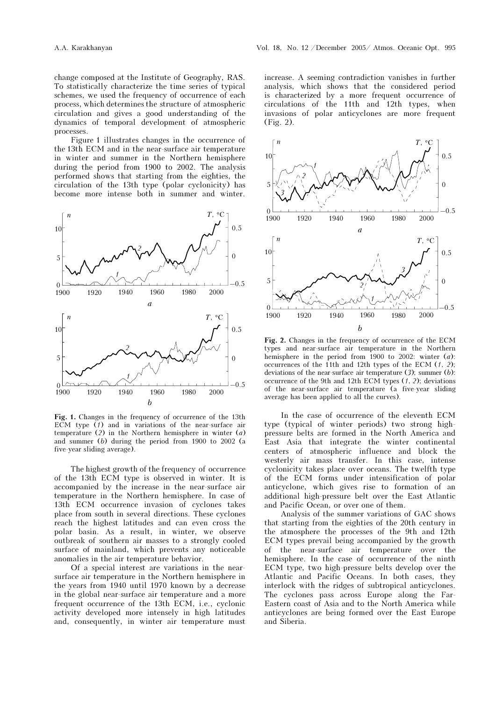change composed at the Institute of Geography, RAS. To statistically characterize the time series of typical schemes, we used the frequency of occurrence of each process, which determines the structure of atmospheric circulation and gives a good understanding of the dynamics of temporal development of atmospheric processes.

Figure 1 illustrates changes in the occurrence of the 13th ECM and in the near-surface air temperature in winter and summer in the Northern hemisphere during the period from 1900 to 2002. The analysis performed shows that starting from the eighties, the circulation of the 13th type (polar cyclonicity) has become more intense both in summer and winter.



Fig. 1. Changes in the frequency of occurrence of the 13th ECM type  $(1)$  and in variations of the near-surface air temperature  $(2)$  in the Northern hemisphere in winter  $(a)$ and summer (b) during the period from 1900 to 2002 (a five-year sliding average).

The highest growth of the frequency of occurrence of the 13th ECM type is observed in winter. It is accompanied by the increase in the near-surface air temperature in the Northern hemisphere. In case of 13th ECM occurrence invasion of cyclones takes place from south in several directions. These cyclones reach the highest latitudes and can even cross the polar basin. As a result, in winter, we observe outbreak of southern air masses to a strongly cooled surface of mainland, which prevents any noticeable anomalies in the air temperature behavior.

Of a special interest are variations in the nearsurface air temperature in the Northern hemisphere in the years from 1940 until 1970 known by a decrease in the global near-surface air temperature and a more frequent occurrence of the 13th ECM, i.e., cyclonic activity developed more intensely in high latitudes and, consequently, in winter air temperature must

increase. A seeming contradiction vanishes in further analysis, which shows that the considered period is characterized by a more frequent occurrence of circulations of the 11th and 12th types, when invasions of polar anticyclones are more frequent (Fig. 2).



Fig. 2. Changes in the frequency of occurrence of the ECM types and near-surface air temperature in the Northern hemisphere in the period from 1900 to 2002: winter (a): occurrences of the 11th and 12th types of the ECM  $(1, 2)$ ; deviations of the near-surface air temperature  $(3)$ ; summer  $(b)$ : occurrence of the 9th and 12th ECM types  $(1, 2)$ ; deviations of the near-surface air temperature (a five-year sliding average has been applied to all the curves).

In the case of occurrence of the eleventh ECM type (typical of winter periods) two strong highpressure belts are formed in the North America and East Asia that integrate the winter continental centers of atmospheric influence and block the westerly air mass transfer. In this case, intense cyclonicity takes place over oceans. The twelfth type of the ECM forms under intensification of polar anticyclone, which gives rise to formation of an additional high-pressure belt over the East Atlantic and Pacific Ocean, or over one of them.

Analysis of the summer variations of GAC shows that starting from the eighties of the 20th century in the atmosphere the processes of the 9th and 12th ECM types prevail being accompanied by the growth of the near-surface air temperature over the hemisphere. In the case of occurrence of the ninth ECM type, two high-pressure belts develop over the Atlantic and Pacific Oceans. In both cases, they interlock with the ridges of subtropical anticyclones. The cyclones pass across Europe along the Far-Eastern coast of Asia and to the North America while anticyclones are being formed over the East Europe and Siberia.